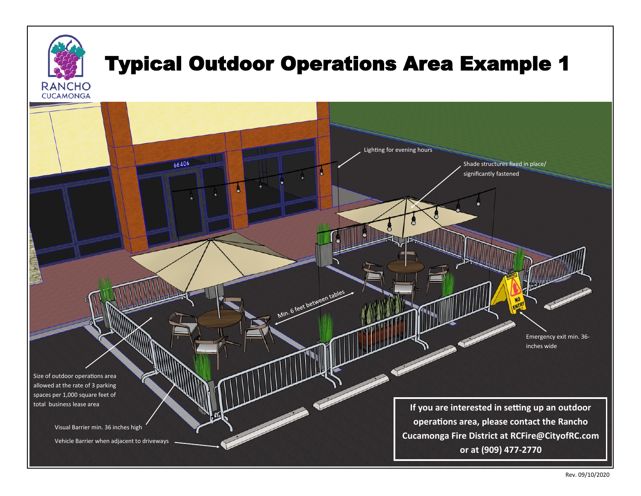## Typical Outdoor Operations Area Example 1

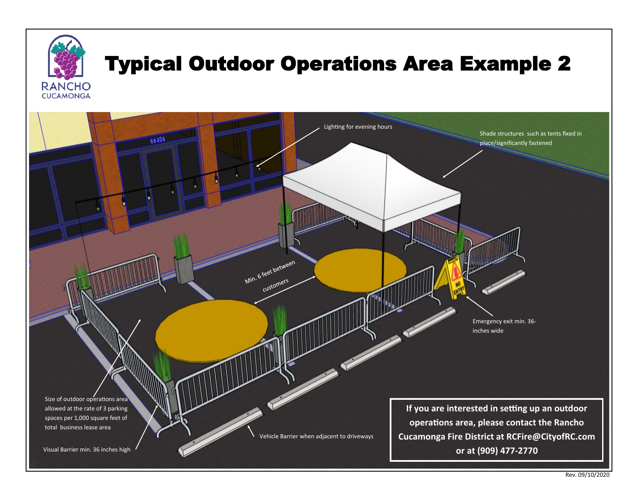

Size of outdoor operations area allowed at the rate of 3 parking spaces per 1,000 square feet of total business lease area

Vehicle Barrier when adjacent to driveways

**If you are interested in setting up an outdoor operations area, please contact the Rancho Cucamonga Fire District at RCFire@CityofRC.com or at (909) 477-2770**

Emergency exit min. 36-

Shade structures such as tents fixed in

place/significantly fastened

inches wide

Visual Barrier min. 36 inches high